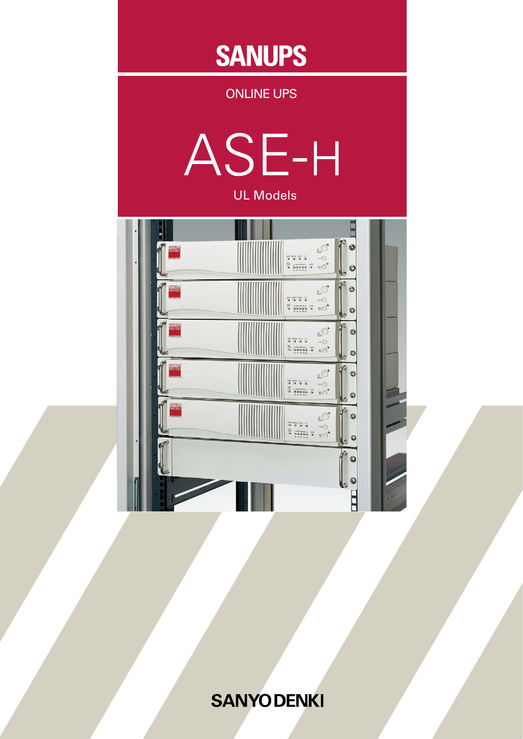

## **SANYO DENKI**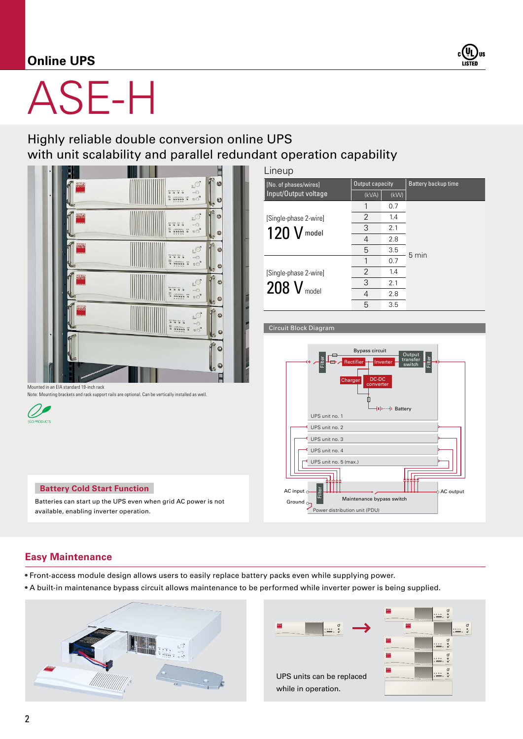### **Online UPS**



# ASE-H

### Highly reliable double conversion online UPS with unit scalability and parallel redundant operation capability



| Mounted in an EIA standard 19-inch rack |  |  |  |
|-----------------------------------------|--|--|--|
|-----------------------------------------|--|--|--|

Note: Mounting brackets and rack support rails are optional. Can be vertically installed as well.



#### **Battery Cold Start Function**

Batteries can start up the UPS even when grid AC power is not available, enabling inverter operation.

#### [No. of phases/wires] Input/Output voltage Output capacity | Battery backup time  $(kVA)$  (kW) [Single-phase 2-wire] 120 V model 1 0.7 5 min 2 1.4 3 2.1 4 2.8 5 3.5 [Single-phase 2-wire] 208 V model 1 0.7 2 1.4 3 2.1 4 2.8 5 3.5

#### Circuit Block Diagram

Lineup



### **Easy Maintenance**

- Front-access module design allows users to easily replace battery packs even while supplying power.
- A built-in maintenance bypass circuit allows maintenance to be performed while inverter power is being supplied.

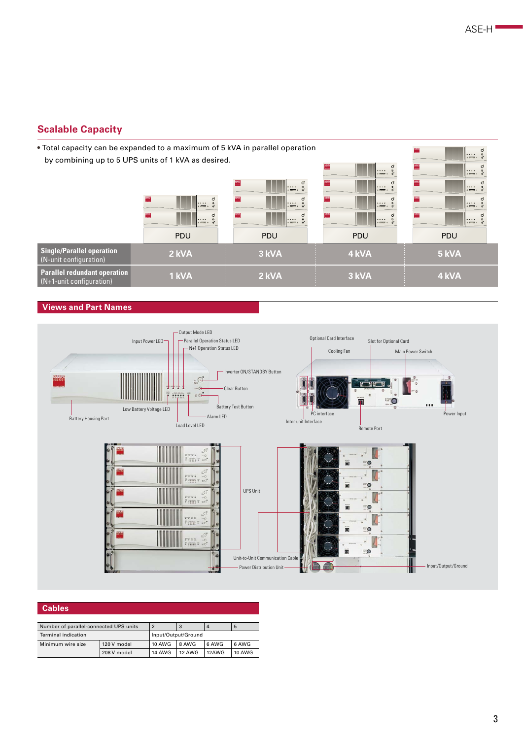### **Scalable Capacity**

| . Total capacity can be expanded to a maximum of 5 kVA in parallel operation<br>SANJAS<br>Antara |                                                                                     |                                                                                              |                                                                                      |                                                      |  |  |  |  |
|--------------------------------------------------------------------------------------------------|-------------------------------------------------------------------------------------|----------------------------------------------------------------------------------------------|--------------------------------------------------------------------------------------|------------------------------------------------------|--|--|--|--|
|                                                                                                  | by combining up to 5 UPS units of 1 kVA as desired.                                 | ianus)<br>Androni<br>ď<br>.<br>. <del></del> .                                               | . <del></del> .<br>iANJPS<br>ASENSIT<br>.<br>$. \dots .$                             |                                                      |  |  |  |  |
|                                                                                                  |                                                                                     | $\sigma$<br>$\circ$<br>$\cdots$<br>$. \overline{}$ .                                         | SANGUPS<br>Ang 100:<br>Ang 100:<br><b>0</b><br>$\sim$<br>$\cdots$<br>$\overline{}$ . | $. \ldots$ .                                         |  |  |  |  |
|                                                                                                  | SANDRY<br>d<br>$\circ$<br>.<br>. <del>.</del>                                       | $\begin{array}{c}\n\text{MMM} \\ \hline\n\end{array}$<br>d<br>$\sim$<br>.<br>$\overline{}$ . | 1408.97<br>And 100<br>And 100<br>$\Omega$<br>.<br>. <del></del> .                    | iawari<br><sup>Lurum</sup><br>.<br>$. \overline{}$ . |  |  |  |  |
|                                                                                                  | <b>SANDPS</b><br>ANDRES<br>--------<br>$\circ$<br>$\circ$<br>.<br>$. \overline{}$ . | $\circ$<br>.<br>. <del></del> .                                                              | $\sigma$<br>$\sim$<br>.<br>. <del></del> .                                           | SANJAS<br>AARTAART<br>$\circ$<br>.<br>$. \ldots$ .   |  |  |  |  |
|                                                                                                  | <b>PDU</b>                                                                          | <b>PDU</b>                                                                                   | <b>PDU</b>                                                                           | <b>PDU</b>                                           |  |  |  |  |
| <b>Single/Parallel operation</b><br>(N-unit configuration)                                       | 2 kVA                                                                               | 3 kVA                                                                                        | 4 kVA                                                                                | 5 kVA                                                |  |  |  |  |
| <b>Parallel redundant operation</b><br>$(N+1$ -unit configuration)                               | 1 kVA                                                                               | 2 kVA                                                                                        | 3 kVA                                                                                | 4 kVA                                                |  |  |  |  |

### **Views and Part Names**



| <b>Cables</b>                                                           |                     |               |        |       |               |  |  |  |  |
|-------------------------------------------------------------------------|---------------------|---------------|--------|-------|---------------|--|--|--|--|
| Number of parallel-connected UPS units<br>3<br>$\overline{2}$<br>5<br>4 |                     |               |        |       |               |  |  |  |  |
| <b>Terminal indication</b>                                              | Input/Output/Ground |               |        |       |               |  |  |  |  |
| Minimum wire size<br>120 V model                                        |                     | <b>10 AWG</b> | 8 AWG  | 6 AWG | 6 AWG         |  |  |  |  |
|                                                                         | 208 V model         | <b>14 AWG</b> | 12 AWG | 12AWG | <b>10 AWG</b> |  |  |  |  |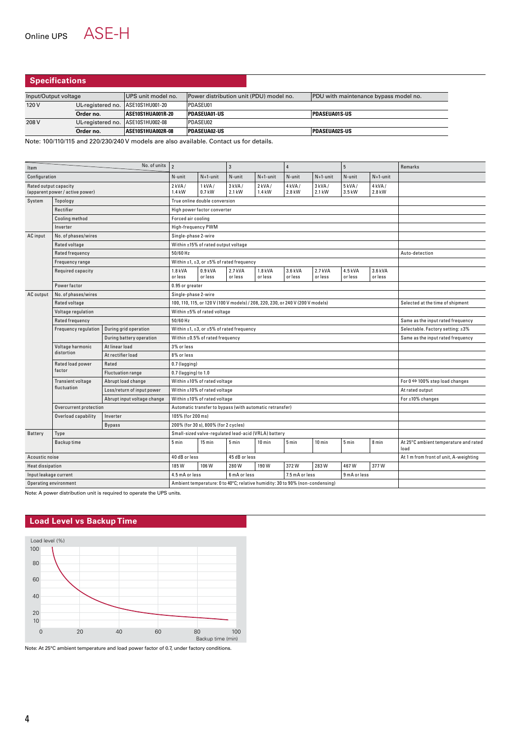### Online UPS ASE-H

### **Specifications**

| Input/Output voltage       |                   | UPS unit model no. | Power distribution unit (PDU) model no. | PDU with maintenance bypass model no. |
|----------------------------|-------------------|--------------------|-----------------------------------------|---------------------------------------|
| 120 V<br>UL-registered no. |                   | ASE10S1HU001-20    | PDASEU01                                |                                       |
| Order no.                  |                   | ASE10S1HUA001R-20  | <b>PDASEUA01-US</b>                     | PDASEUA01S-US                         |
| 208 V                      | UL-registered no. | ASE10S1HU002-08    | PDASEU02                                |                                       |
| Order no.                  |                   | ASE10S1HUA002R-08  | <b>PDASEUA02-US</b>                     | PDASEUA02S-US                         |

Note: 100/110/115 and 220/230/240 V models are also available. Contact us for details.

| No. of units<br>Item                                     |                                         | 2                                                                             |                                                          | $\overline{3}$                                                                  |                                                            | $\overline{4}$                         |                    | 5                  |                                   | Remarks                                         |                                               |
|----------------------------------------------------------|-----------------------------------------|-------------------------------------------------------------------------------|----------------------------------------------------------|---------------------------------------------------------------------------------|------------------------------------------------------------|----------------------------------------|--------------------|--------------------|-----------------------------------|-------------------------------------------------|-----------------------------------------------|
| Configuration                                            |                                         | N-unit                                                                        | $N+1$ -unit                                              | N-unit                                                                          | $N+1$ -unit                                                | N-unit                                 | $N+1$ -unit        | N-unit             | $N+1$ -unit                       |                                                 |                                               |
| Rated output capacity<br>(apparent power / active power) |                                         |                                                                               | $2$ kVA/<br>1.4 kW                                       | $1$ kVA /<br>$0.7$ kW                                                           | $3$ kVA $/$<br>2.1 kW                                      | $2$ kVA /<br>1.4 kW                    | 4 kVA/<br>2.8 kW   | $3$ kVA/<br>2.1 kW | 5 kVA/<br>3.5 kW                  | 4 kVA/<br>2.8 kW                                |                                               |
| System<br>Topology                                       |                                         |                                                                               |                                                          | True online double conversion                                                   |                                                            |                                        |                    |                    |                                   |                                                 |                                               |
|                                                          | Rectifier                               |                                                                               | High power factor converter                              |                                                                                 |                                                            |                                        |                    |                    |                                   |                                                 |                                               |
|                                                          | Cooling method                          |                                                                               | Forced air cooling                                       |                                                                                 |                                                            |                                        |                    |                    |                                   |                                                 |                                               |
|                                                          | Inverter                                |                                                                               | High-frequency PWM                                       |                                                                                 |                                                            |                                        |                    |                    |                                   |                                                 |                                               |
| AC input                                                 | No. of phases/wires                     |                                                                               | Single-phase 2-wire                                      |                                                                                 |                                                            |                                        |                    |                    |                                   |                                                 |                                               |
|                                                          | Rated voltage                           |                                                                               |                                                          | Within ±15% of rated output voltage                                             |                                                            |                                        |                    |                    |                                   |                                                 |                                               |
|                                                          | Rated frequency                         |                                                                               |                                                          |                                                                                 |                                                            |                                        |                    |                    |                                   |                                                 | Auto-detection                                |
|                                                          | Frequency range                         |                                                                               |                                                          |                                                                                 | Within $\pm 1$ , $\pm 3$ , or $\pm 5\%$ of rated frequency |                                        |                    |                    |                                   |                                                 |                                               |
|                                                          | Required capacity                       |                                                                               | 1.8 kVA<br>or less                                       | $0.9$ kVA<br>or less                                                            | 2.7 kVA<br>or less                                         | 1.8 kVA<br>or less                     | 3.6 kVA<br>or less | 2.7 kVA<br>orless  | 4.5 kVA<br>or less                | 3.6 kVA<br>or less                              |                                               |
|                                                          | Power factor                            |                                                                               | 0.95 or greater                                          |                                                                                 |                                                            |                                        |                    |                    |                                   |                                                 |                                               |
| AC output                                                | No. of phases/wires                     |                                                                               | Single-phase 2-wire                                      |                                                                                 |                                                            |                                        |                    |                    |                                   |                                                 |                                               |
|                                                          | Rated voltage                           |                                                                               |                                                          | 100, 110, 115, or 120 V (100 V models) / 208, 220, 230, or 240 V (200 V models) |                                                            |                                        |                    |                    |                                   | Selected at the time of shipment                |                                               |
|                                                          | Voltage regulation                      |                                                                               | Within $\pm 5\%$ of rated voltage                        |                                                                                 |                                                            |                                        |                    |                    |                                   |                                                 |                                               |
|                                                          | Rated frequency                         |                                                                               | 50/60 Hz                                                 |                                                                                 |                                                            |                                        |                    |                    | Same as the input rated frequency |                                                 |                                               |
|                                                          | Frequency regulation                    | During grid operation                                                         |                                                          | Within $\pm 1$ , $\pm 3$ , or $\pm 5\%$ of rated frequency                      |                                                            |                                        |                    |                    | Selectable. Factory setting: ±3%  |                                                 |                                               |
|                                                          |                                         | During battery operation                                                      |                                                          | Within $\pm 0.5\%$ of rated frequency                                           |                                                            |                                        |                    |                    |                                   | Same as the input rated frequency               |                                               |
|                                                          | Voltage harmonic                        | At linear load                                                                | 3% or less                                               |                                                                                 |                                                            |                                        |                    |                    |                                   |                                                 |                                               |
|                                                          | distortion                              | At rectifier load                                                             | 8% or less                                               |                                                                                 |                                                            |                                        |                    |                    |                                   |                                                 |                                               |
|                                                          | Rated load power                        | Rated                                                                         | 0.7 (lagging)                                            |                                                                                 |                                                            |                                        |                    |                    |                                   |                                                 |                                               |
|                                                          | factor                                  | <b>Fluctuation range</b>                                                      |                                                          | 0.7 (lagging) to 1.0                                                            |                                                            |                                        |                    |                    |                                   |                                                 |                                               |
|                                                          | Transient voltage<br>Abrupt load change |                                                                               | Within $\pm 10\%$ of rated voltage                       |                                                                                 |                                                            |                                        |                    |                    |                                   | For $0 \Leftrightarrow 100\%$ step load changes |                                               |
|                                                          | fluctuation                             | Loss/return of input power                                                    |                                                          | Within $\pm 10\%$ of rated voltage                                              |                                                            |                                        |                    |                    |                                   | At rated output                                 |                                               |
|                                                          |                                         | Abrupt input voltage change                                                   | Within $\pm 10\%$ of rated voltage                       |                                                                                 |                                                            |                                        |                    |                    | For ±10% changes                  |                                                 |                                               |
|                                                          | Overcurrent protection                  |                                                                               | Automatic transfer to bypass (with automatic retransfer) |                                                                                 |                                                            |                                        |                    |                    |                                   |                                                 |                                               |
|                                                          | Overload capability                     | Inverter                                                                      | 105% (for 200 ms)                                        |                                                                                 |                                                            |                                        |                    |                    |                                   |                                                 |                                               |
|                                                          |                                         | <b>Bypass</b>                                                                 |                                                          | 200% (for 30 s), 800% (for 2 cycles)                                            |                                                            |                                        |                    |                    |                                   |                                                 |                                               |
| Battery                                                  | Type                                    |                                                                               | Small-sized valve-regulated lead-acid (VRLA) battery     |                                                                                 |                                                            |                                        |                    |                    |                                   |                                                 |                                               |
|                                                          | Backup time                             |                                                                               | 5 min                                                    | $15$ min                                                                        | 5 min                                                      | 10 min                                 | 5 min              | $10$ min           | 5 min                             | 8 min                                           | At 25°C ambient temperature and rated<br>load |
| Acoustic noise                                           |                                         | 40 dB or less<br>45 dB or less                                                |                                                          |                                                                                 |                                                            | At 1 m from front of unit, A-weighting |                    |                    |                                   |                                                 |                                               |
| <b>Heat dissipation</b>                                  |                                         | 185W                                                                          | 106W                                                     | 280W                                                                            | 190W                                                       | 372W                                   | 283W               | 467W               | 377W                              |                                                 |                                               |
| Input leakage current                                    |                                         | 4.5 mA or less                                                                |                                                          | 6 mA or less                                                                    |                                                            | 7.5 mA or less                         |                    | 9 mA or less       |                                   |                                                 |                                               |
| Operating environment                                    |                                         | Ambient temperature: 0 to 40°C; relative humidity: 30 to 90% (non-condensing) |                                                          |                                                                                 |                                                            |                                        |                    |                    |                                   |                                                 |                                               |

Note: A power distribution unit is required to operate the UPS units.

### **Load Level vs Backup Time**



Note: At 25°C ambient temperature and load power factor of 0.7, under factory conditions.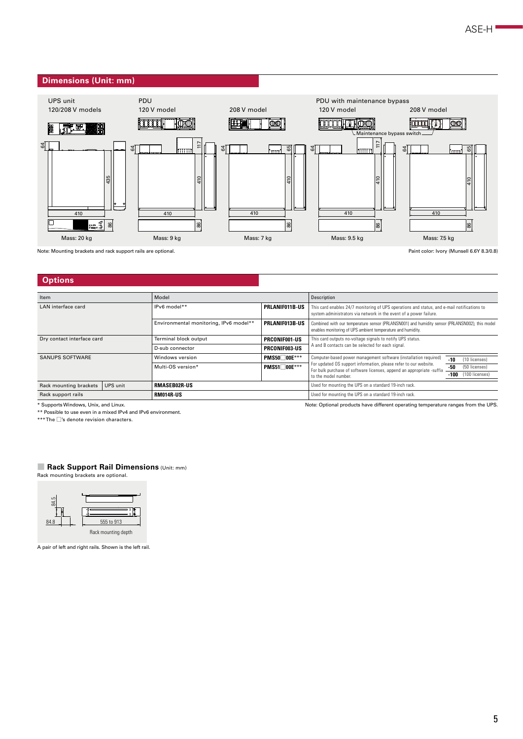

#### **Options**

| Model<br>Item                                             |  |                                                       | Description                           |                                                                                                                                                                   |                        |  |  |
|-----------------------------------------------------------|--|-------------------------------------------------------|---------------------------------------|-------------------------------------------------------------------------------------------------------------------------------------------------------------------|------------------------|--|--|
| LAN interface card                                        |  | IPv6 model**                                          | PRLANIF011B-US                        | This card enables 24/7 monitoring of UPS operations and status, and e-mail notifications to<br>system administrators via network in the event of a power failure. |                        |  |  |
|                                                           |  | Environmental monitoring, IPv6 model**                | PRLANIF013B-US                        | Combined with our temperature sensor (PRLANSN001) and humidity sensor (PRLANSN002), this model<br>enables monitoring of UPS ambient temperature and humidity.     |                        |  |  |
| Dry contact interface card                                |  | Terminal block output                                 | PRCONIF001-US                         | This card outputs no-voltage signals to notify UPS status.                                                                                                        |                        |  |  |
|                                                           |  | D-sub connector                                       | PRCONIF003-US                         | A and B contacts can be selected for each signal.                                                                                                                 |                        |  |  |
| <b>SANUPS SOFTWARE</b>                                    |  | Windows version                                       | <b>PMS50</b> 00E***                   | Computer-based power management software (installation required)                                                                                                  | $-10$<br>(10 licenses) |  |  |
|                                                           |  | Multi-OS version*                                     | PMS51 <sup>1</sup> 00E <sup>***</sup> | For updated OS support information, please refer to our website.<br>For bulk purchase of software licenses, append an appropriate -suffix                         | -50<br>(50 licenses)   |  |  |
|                                                           |  |                                                       |                                       | to the model number.                                                                                                                                              | $-100$ (100 licenses)  |  |  |
| UPS unit<br>Rack mounting brackets<br><b>RMASEB02R-US</b> |  | Used for mounting the UPS on a standard 19-inch rack. |                                       |                                                                                                                                                                   |                        |  |  |
| Rack support rails                                        |  | <b>RM014R-US</b>                                      |                                       | Used for mounting the UPS on a standard 19-inch rack.                                                                                                             |                        |  |  |
| * Supports Windows, Unix, and Linux.                      |  |                                                       |                                       | Note: Optional products have different operating temperature ranges from the UPS.                                                                                 |                        |  |  |

\*\* Possible to use even in a mixed IPv4 and IPv6 environment.

\*\*\* The □'s denote revision characters.

### ■ **Rack Support Rail Dimensions** (Unit: mm)

Rack mounting brackets are optional.



A pair of left and right rails. Shown is the left rail.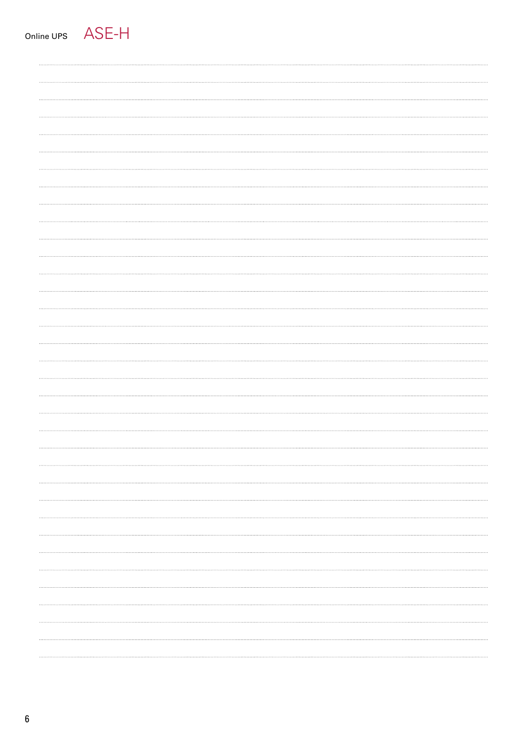Online UPS

### ASE-H